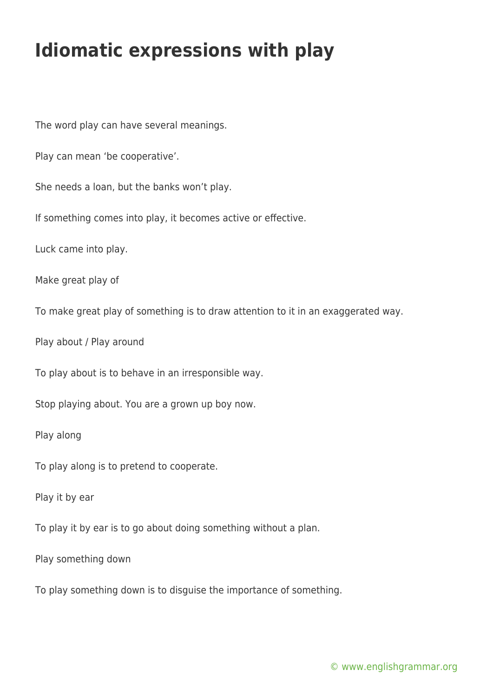## **Idiomatic expressions with play**

The word play can have several meanings.

Play can mean 'be cooperative'.

She needs a loan, but the banks won't play.

If something comes into play, it becomes active or effective.

Luck came into play.

Make great play of

To make great play of something is to draw attention to it in an exaggerated way.

Play about / Play around

To play about is to behave in an irresponsible way.

Stop playing about. You are a grown up boy now.

Play along

To play along is to pretend to cooperate.

Play it by ear

To play it by ear is to go about doing something without a plan.

Play something down

To play something down is to disguise the importance of something.